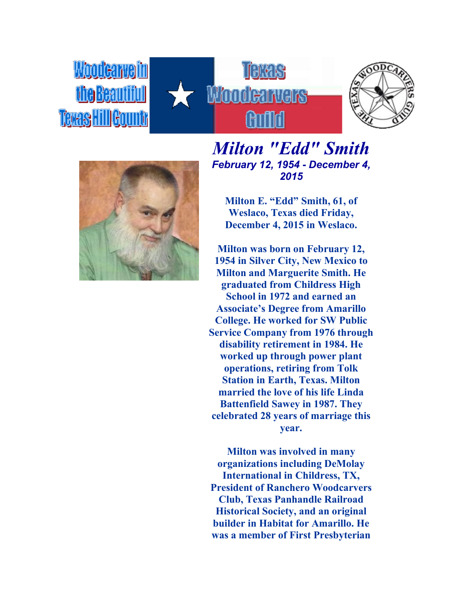





## *Milton "Edd" Smith February 12, 1954 - December 4, 2015*

**Milton E. "Edd" Smith, 61, of Weslaco, Texas died Friday, December 4, 2015 in Weslaco.**

**Milton was born on February 12, 1954 in Silver City, New Mexico to Milton and Marguerite Smith. He graduated from Childress High School in 1972 and earned an Associate's Degree from Amarillo College. He worked for SW Public Service Company from 1976 through disability retirement in 1984. He worked up through power plant operations, retiring from Tolk Station in Earth, Texas. Milton married the love of his life Linda Battenfield Sawey in 1987. They celebrated 28 years of marriage this year.**

**Milton was involved in many organizations including DeMolay International in Childress, TX, President of Ranchero Woodcarvers Club, Texas Panhandle Railroad Historical Society, and an original builder in Habitat for Amarillo. He was a member of First Presbyterian**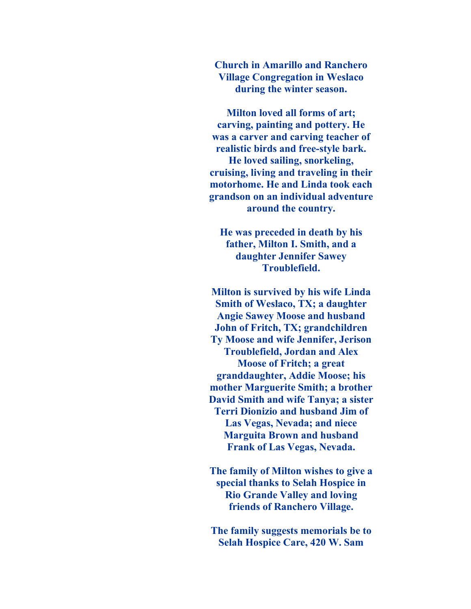**Church in Amarillo and Ranchero Village Congregation in Weslaco during the winter season.**

**Milton loved all forms of art; carving, painting and pottery. He was a carver and carving teacher of realistic birds and free-style bark. He loved sailing, snorkeling, cruising, living and traveling in their motorhome. He and Linda took each grandson on an individual adventure around the country.**

**He was preceded in death by his father, Milton I. Smith, and a daughter Jennifer Sawey Troublefield.**

**Milton is survived by his wife Linda Smith of Weslaco, TX; a daughter Angie Sawey Moose and husband John of Fritch, TX; grandchildren Ty Moose and wife Jennifer, Jerison Troublefield, Jordan and Alex Moose of Fritch; a great granddaughter, Addie Moose; his mother Marguerite Smith; a brother David Smith and wife Tanya; a sister Terri Dionizio and husband Jim of Las Vegas, Nevada; and niece Marguita Brown and husband Frank of Las Vegas, Nevada.**

**The family of Milton wishes to give a special thanks to Selah Hospice in Rio Grande Valley and loving friends of Ranchero Village.**

**The family suggests memorials be to Selah Hospice Care, 420 W. Sam**